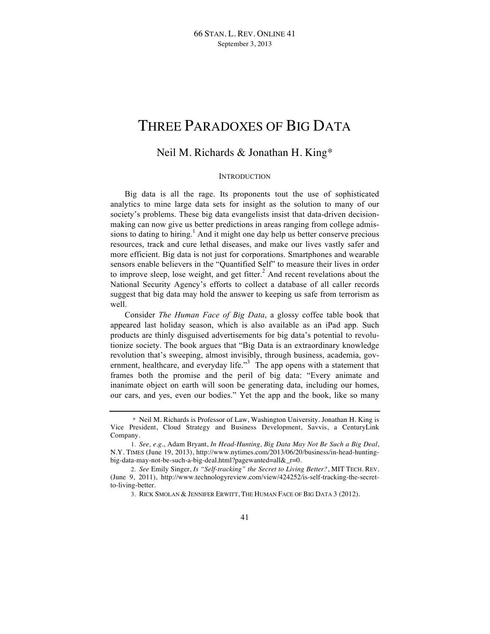# THREE PARADOXES OF BIG DATA

## Neil M. Richards & Jonathan H. King\*

### **INTRODUCTION**

Big data is all the rage. Its proponents tout the use of sophisticated analytics to mine large data sets for insight as the solution to many of our society's problems. These big data evangelists insist that data-driven decisionmaking can now give us better predictions in areas ranging from college admissions to dating to hiring.<sup>1</sup> And it might one day help us better conserve precious resources, track and cure lethal diseases, and make our lives vastly safer and more efficient. Big data is not just for corporations. Smartphones and wearable sensors enable believers in the "Quantified Self" to measure their lives in order to improve sleep, lose weight, and get fitter.<sup>2</sup> And recent revelations about the National Security Agency's efforts to collect a database of all caller records suggest that big data may hold the answer to keeping us safe from terrorism as well.

Consider *The Human Face of Big Data*, a glossy coffee table book that appeared last holiday season, which is also available as an iPad app. Such products are thinly disguised advertisements for big data's potential to revolutionize society. The book argues that "Big Data is an extraordinary knowledge revolution that's sweeping, almost invisibly, through business, academia, government, healthcare, and everyday life.<sup>33</sup> The app opens with a statement that frames both the promise and the peril of big data: "Every animate and inanimate object on earth will soon be generating data, including our homes, our cars, and yes, even our bodies." Yet the app and the book, like so many

<sup>\*</sup> Neil M. Richards is Professor of Law, Washington University. Jonathan H. King is Vice President, Cloud Strategy and Business Development, Savvis, a CenturyLink Company.

<sup>1.</sup> *See, e.g.*, Adam Bryant, *In Head-Hunting, Big Data May Not Be Such a Big Deal*, N.Y. TIMES (June 19, 2013), http://www.nytimes.com/2013/06/20/business/in-head-huntingbig-data-may-not-be-such-a-big-deal.html?pagewanted=all&\_r=0.

<sup>2.</sup> *See* Emily Singer, *Is "Self-tracking" the Secret to Living Better?*, MIT TECH. REV. (June 9, 2011), http://www.technologyreview.com/view/424252/is-self-tracking-the-secretto-living-better.

<sup>3.</sup> RICK SMOLAN & JENNIFER ERWITT, THE HUMAN FACE OF BIG DATA 3 (2012).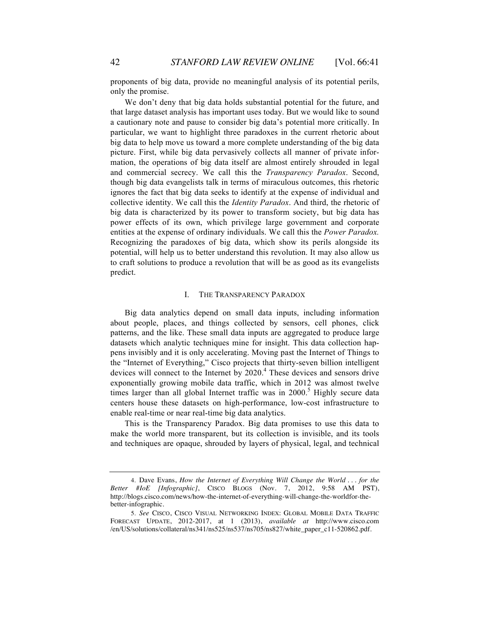proponents of big data, provide no meaningful analysis of its potential perils, only the promise.

We don't deny that big data holds substantial potential for the future, and that large dataset analysis has important uses today. But we would like to sound a cautionary note and pause to consider big data's potential more critically. In particular, we want to highlight three paradoxes in the current rhetoric about big data to help move us toward a more complete understanding of the big data picture. First, while big data pervasively collects all manner of private information, the operations of big data itself are almost entirely shrouded in legal and commercial secrecy. We call this the *Transparency Paradox*. Second, though big data evangelists talk in terms of miraculous outcomes, this rhetoric ignores the fact that big data seeks to identify at the expense of individual and collective identity. We call this the *Identity Paradox*. And third, the rhetoric of big data is characterized by its power to transform society, but big data has power effects of its own, which privilege large government and corporate entities at the expense of ordinary individuals. We call this the *Power Paradox.* Recognizing the paradoxes of big data, which show its perils alongside its potential, will help us to better understand this revolution. It may also allow us to craft solutions to produce a revolution that will be as good as its evangelists predict.

#### I. THE TRANSPARENCY PARADOX

Big data analytics depend on small data inputs, including information about people, places, and things collected by sensors, cell phones, click patterns, and the like. These small data inputs are aggregated to produce large datasets which analytic techniques mine for insight. This data collection happens invisibly and it is only accelerating. Moving past the Internet of Things to the "Internet of Everything," Cisco projects that thirty-seven billion intelligent devices will connect to the Internet by 2020.<sup>4</sup> These devices and sensors drive exponentially growing mobile data traffic, which in 2012 was almost twelve times larger than all global Internet traffic was in  $2000$ .<sup>5</sup> Highly secure data centers house these datasets on high-performance, low-cost infrastructure to enable real-time or near real-time big data analytics.

This is the Transparency Paradox. Big data promises to use this data to make the world more transparent, but its collection is invisible, and its tools and techniques are opaque, shrouded by layers of physical, legal, and technical

<sup>4.</sup> Dave Evans, *How the Internet of Everything Will Change the World . . . for the Better #IoE [Infographic]*, CISCO BLOGS (Nov. 7, 2012, 9:58 AM PST), http://blogs.cisco.com/news/how-the-internet-of-everything-will-change-the-worldfor-thebetter-infographic.

<sup>5.</sup> *See* CISCO, CISCO VISUAL NETWORKING INDEX: GLOBAL MOBILE DATA TRAFFIC FORECAST UPDATE, 2012-2017, at 1 (2013), *available at* http://www.cisco.com /en/US/solutions/collateral/ns341/ns525/ns537/ns705/ns827/white\_paper\_c11-520862.pdf.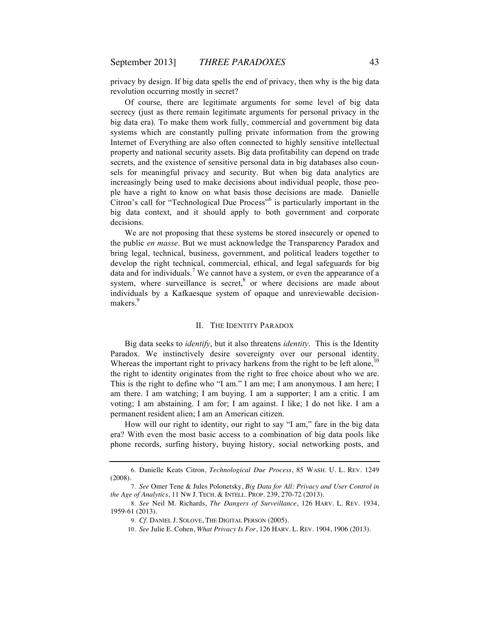privacy by design. If big data spells the end of privacy, then why is the big data revolution occurring mostly in secret?

Of course, there are legitimate arguments for some level of big data secrecy (just as there remain legitimate arguments for personal privacy in the big data era). To make them work fully, commercial and government big data systems which are constantly pulling private information from the growing Internet of Everything are also often connected to highly sensitive intellectual property and national security assets. Big data profitability can depend on trade secrets, and the existence of sensitive personal data in big databases also counsels for meaningful privacy and security. But when big data analytics are increasingly being used to make decisions about individual people, those people have a right to know on what basis those decisions are made. Danielle Citron's call for "Technological Due Process"<sup>6</sup> is particularly important in the big data context, and it should apply to both government and corporate decisions.

We are not proposing that these systems be stored insecurely or opened to the public *en masse*. But we must acknowledge the Transparency Paradox and bring legal, technical, business, government, and political leaders together to develop the right technical, commercial, ethical, and legal safeguards for big data and for individuals.<sup>7</sup> We cannot have a system, or even the appearance of a system, where surveillance is secret, $8$  or where decisions are made about individuals by a Kafkaesque system of opaque and unreviewable decisionmakers.<sup>9</sup>

#### II. THE IDENTITY PARADOX

Big data seeks to *identify*, but it also threatens *identity*. This is the Identity Paradox. We instinctively desire sovereignty over our personal identity. Whereas the important right to privacy harkens from the right to be left alone,  $10$ the right to identity originates from the right to free choice about who we are. This is the right to define who "I am." I am me; I am anonymous. I am here; I am there. I am watching; I am buying. I am a supporter; I am a critic. I am voting; I am abstaining. I am for; I am against. I like; I do not like. I am a permanent resident alien; I am an American citizen.

How will our right to identity, our right to say "I am," fare in the big data era? With even the most basic access to a combination of big data pools like phone records, surfing history, buying history, social networking posts, and

<sup>6.</sup> Danielle Keats Citron, *Technological Due Process*, 85 WASH. U. L. REV. 1249 (2008).

<sup>7.</sup> *See* Omer Tene & Jules Polonetsky, *Big Data for All: Privacy and User Control in the Age of Analytics*, 11 NW J. TECH. & INTELL. PROP. 239, 270-72 (2013).

<sup>8.</sup> *See* Neil M. Richards, *The Dangers of Surveillance*, 126 HARV. L. REV. 1934, 1959-61 (2013).

<sup>9.</sup> *Cf.* DANIEL J. SOLOVE, THE DIGITAL PERSON (2005).

<sup>10.</sup> *See* Julie E. Cohen, *What Privacy Is For*, 126 HARV. L. REV. 1904, 1906 (2013).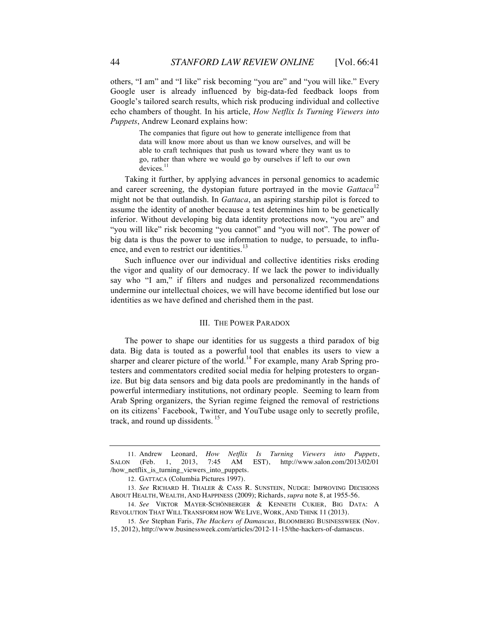others, "I am" and "I like" risk becoming "you are" and "you will like." Every Google user is already influenced by big-data-fed feedback loops from Google's tailored search results, which risk producing individual and collective echo chambers of thought. In his article, *How Netflix Is Turning Viewers into Puppets*, Andrew Leonard explains how:

> The companies that figure out how to generate intelligence from that data will know more about us than we know ourselves, and will be able to craft techniques that push us toward where they want us to go, rather than where we would go by ourselves if left to our own devices.<sup>11</sup>

Taking it further, by applying advances in personal genomics to academic and career screening, the dystopian future portrayed in the movie *Gattaca*<sup>12</sup> might not be that outlandish. In *Gattaca*, an aspiring starship pilot is forced to assume the identity of another because a test determines him to be genetically inferior. Without developing big data identity protections now, "you are" and "you will like" risk becoming "you cannot" and "you will not". The power of big data is thus the power to use information to nudge, to persuade, to influence, and even to restrict our identities.<sup>13</sup>

Such influence over our individual and collective identities risks eroding the vigor and quality of our democracy. If we lack the power to individually say who "I am," if filters and nudges and personalized recommendations undermine our intellectual choices, we will have become identified but lose our identities as we have defined and cherished them in the past.

#### III. THE POWER PARADOX

The power to shape our identities for us suggests a third paradox of big data. Big data is touted as a powerful tool that enables its users to view a sharper and clearer picture of the world.<sup>14</sup> For example, many Arab Spring protesters and commentators credited social media for helping protesters to organize. But big data sensors and big data pools are predominantly in the hands of powerful intermediary institutions, not ordinary people. Seeming to learn from Arab Spring organizers, the Syrian regime feigned the removal of restrictions on its citizens' Facebook, Twitter, and YouTube usage only to secretly profile, track, and round up dissidents.<sup>15</sup>

<sup>11.</sup> Andrew Leonard, *How Netflix Is Turning Viewers into Puppets*, SALON (Feb. 1, 2013, 7:45 AM EST), http://www.salon.com/2013/02/01 /how\_netflix\_is\_turning\_viewers\_into\_puppets.

<sup>12.</sup> GATTACA (Columbia Pictures 1997).

<sup>13.</sup> *See* RICHARD H. THALER & CASS R. SUNSTEIN, NUDGE: IMPROVING DECISIONS ABOUT HEALTH, WEALTH, AND HAPPINESS (2009); Richards, *supra* note 8, at 1955-56.

<sup>14.</sup> *See* VIKTOR MAYER-SCHÖNBERGER & KENNETH CUKIER, BIG DATA: A REVOLUTION THAT WILL TRANSFORM HOW WE LIVE, WORK, AND THINK 11 (2013).

<sup>15.</sup> *See* Stephan Faris, *The Hackers of Damascus*, BLOOMBERG BUSINESSWEEK (Nov. 15, 2012), http://www.businessweek.com/articles/2012-11-15/the-hackers-of-damascus.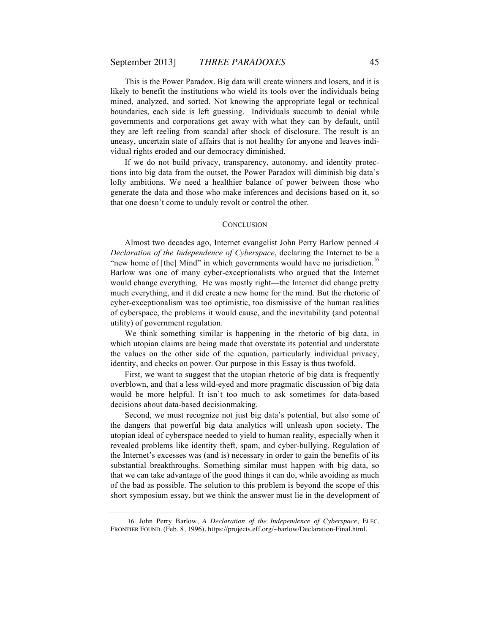This is the Power Paradox. Big data will create winners and losers, and it is likely to benefit the institutions who wield its tools over the individuals being mined, analyzed, and sorted. Not knowing the appropriate legal or technical boundaries, each side is left guessing. Individuals succumb to denial while governments and corporations get away with what they can by default, until they are left reeling from scandal after shock of disclosure. The result is an uneasy, uncertain state of affairs that is not healthy for anyone and leaves individual rights eroded and our democracy diminished.

If we do not build privacy, transparency, autonomy, and identity protections into big data from the outset, the Power Paradox will diminish big data's lofty ambitions. We need a healthier balance of power between those who generate the data and those who make inferences and decisions based on it, so that one doesn't come to unduly revolt or control the other.

#### **CONCLUSION**

Almost two decades ago, Internet evangelist John Perry Barlow penned *A Declaration of the Independence of Cyberspace*, declaring the Internet to be a "new home of [the] Mind" in which governments would have no jurisdiction.<sup>16</sup> Barlow was one of many cyber-exceptionalists who argued that the Internet would change everything. He was mostly right—the Internet did change pretty much everything, and it did create a new home for the mind. But the rhetoric of cyber-exceptionalism was too optimistic, too dismissive of the human realities of cyberspace, the problems it would cause, and the inevitability (and potential utility) of government regulation.

We think something similar is happening in the rhetoric of big data, in which utopian claims are being made that overstate its potential and understate the values on the other side of the equation, particularly individual privacy, identity, and checks on power. Our purpose in this Essay is thus twofold.

First, we want to suggest that the utopian rhetoric of big data is frequently overblown, and that a less wild-eyed and more pragmatic discussion of big data would be more helpful. It isn't too much to ask sometimes for data-based decisions about data-based decisionmaking.

Second, we must recognize not just big data's potential, but also some of the dangers that powerful big data analytics will unleash upon society. The utopian ideal of cyberspace needed to yield to human reality, especially when it revealed problems like identity theft, spam, and cyber-bullying. Regulation of the Internet's excesses was (and is) necessary in order to gain the benefits of its substantial breakthroughs. Something similar must happen with big data, so that we can take advantage of the good things it can do, while avoiding as much of the bad as possible. The solution to this problem is beyond the scope of this short symposium essay, but we think the answer must lie in the development of

<sup>16.</sup> John Perry Barlow, *A Declaration of the Independence of Cyberspace*, ELEC. FRONTIER FOUND. (Feb. 8, 1996), https://projects.eff.org/~barlow/Declaration-Final.html.